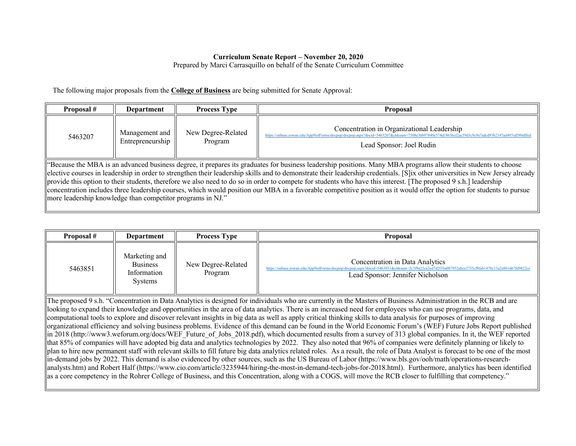## **Curriculum Senate Report – November 20, 2020**

Prepared by Marci Carrasquillo on behalf of the Senate Curriculum Committee

The following major proposals from the **College of Business** are being submitted for Senate Approval:

| Proposal # | Department                         | <b>Process Type</b>           | Proposal                                                                                                                                                                                                                |  |
|------------|------------------------------------|-------------------------------|-------------------------------------------------------------------------------------------------------------------------------------------------------------------------------------------------------------------------|--|
| 5463207    | Management and<br>Entrepreneurship | New Degree-Related<br>Program | Concentration in Organizational Leadership<br>https://onbase.rowan.edu/AppNetForms/docpop/docpop.aspx?docid=5463207&chksum=7508e3bb97840e574d1863bcf2ac59d3c9c9a7adcd93b2147ad497ed580dffed<br>Lead Sponsor: Joel Rudin |  |
|            |                                    |                               |                                                                                                                                                                                                                         |  |

"Because the MBA is an advanced business degree, it prepares its graduates for business leadership positions. Many MBA programs allow their students to choose elective courses in leadership in order to strengthen their leadership skills and to demonstrate their leadership credentials. [S]ix other universities in New Jersey already provide this option to their students, therefore we also need to do so in order to compete for students who have this interest. [The proposed 9 s.h.] leadership concentration includes three leadership courses, which would position our MBA in a favorable competitive position as it would offer the option for students to pursue more leadership knowledge than competitor programs in NJ."

| Proposal # | Department                                                        | <b>Process Type</b>           | <b>Proposal</b>                                                                                                                                                                                                      |
|------------|-------------------------------------------------------------------|-------------------------------|----------------------------------------------------------------------------------------------------------------------------------------------------------------------------------------------------------------------|
| 5463851    | Marketing and<br><b>Business</b><br>Information<br><b>Systems</b> | New Degree-Related<br>Program | Concentration in Data Analytics<br>https://onbase.rowan.edu/AppNetForms/docpop/docpop.aspx?docid=5463851&chksum=2c3f9a22ca2ed7d2f1ba087952abce2735cf8fab1470c13a2e801d67fd9822ce<br>Lead Sponsor: Jennifer Nicholson |

The proposed 9 s.h. "Concentration in Data Analytics is designed for individuals who are currently in the Masters of Business Administration in the RCB and are looking to expand their knowledge and opportunities in the area of data analytics. There is an increased need for employees who can use programs, data, and computational tools to explore and discover relevant insights in big data as well as apply critical thinking skills to data analysis for purposes of improving organizational efficiency and solving business problems. Evidence of this demand can be found in the World Economic Forum's (WEF) Future Jobs Report published in 2018 (http://www3.weforum.org/docs/WEF\_Future\_of\_Jobs\_2018.pdf), which documented results from a survey of 313 global companies. In it, the WEF reported that 85% of companies will have adopted big data and analytics technologies by 2022. They also noted that 96% of companies were definitely planning or likely to plan to hire new permanent staff with relevant skills to fill future big data analytics related roles. As a result, the role of Data Analyst is forecast to be one of the most in-demand jobs by 2022. This demand is also evidenced by other sources, such as the US Bureau of Labor (https://www.bls.gov/ooh/math/operations-researchanalysts.htm) and Robert Half (https://www.cio.com/article/3235944/hiring-the-most-in-demand-tech-jobs-for-2018.html). Furthermore, analytics has been identified as a core competency in the Rohrer College of Business, and this Concentration, along with a COGS, will move the RCB closer to fulfilling that competency."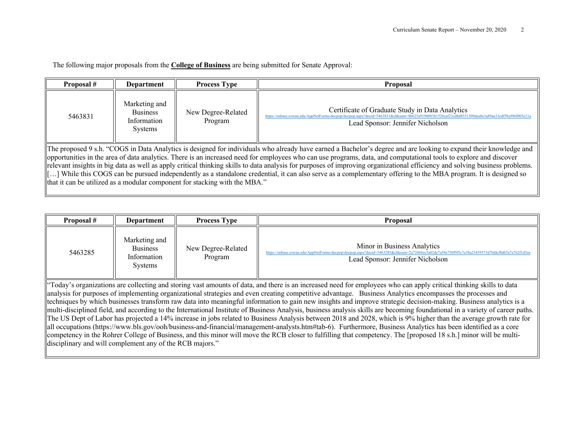The following major proposals from the **College of Business** are being submitted for Senate Approval:

| Proposal #                                                                                                                                                                                                                                                                                                                                                                                                                                                                                                                                                                                                                                                                                                                                                             | Department                                                        | <b>Process Type</b>           | <b>Proposal</b>                                                                                                                                                                                                                      |  |
|------------------------------------------------------------------------------------------------------------------------------------------------------------------------------------------------------------------------------------------------------------------------------------------------------------------------------------------------------------------------------------------------------------------------------------------------------------------------------------------------------------------------------------------------------------------------------------------------------------------------------------------------------------------------------------------------------------------------------------------------------------------------|-------------------------------------------------------------------|-------------------------------|--------------------------------------------------------------------------------------------------------------------------------------------------------------------------------------------------------------------------------------|--|
| 5463831                                                                                                                                                                                                                                                                                                                                                                                                                                                                                                                                                                                                                                                                                                                                                                | Marketing and<br><b>Business</b><br>Information<br><b>Systems</b> | New Degree-Related<br>Program | Certificate of Graduate Study in Data Analytics<br>https://onbase.rowan.edu/AppNetForms/docpop/docpop.aspx?docid=5463831&chksum=8b625a919008381526caf23cd8d8551309dea0e3a89aa33edf58a996f005e21a<br>Lead Sponsor: Jennifer Nicholson |  |
| The proposed 9 s.h. "COGS in Data Analytics is designed for individuals who already have earned a Bachelor's degree and are looking to expand their knowledge and<br>opportunities in the area of data analytics. There is an increased need for employees who can use programs, data, and computational tools to explore and discover<br>relevant insights in big data as well as apply critical thinking skills to data analysis for purposes of improving organizational efficiency and solving business problems.<br>[] While this COGS can be pursued independently as a standalone credential, it can also serve as a complementary offering to the MBA program. It is designed so<br>that it can be utilized as a modular component for stacking with the MBA." |                                                                   |                               |                                                                                                                                                                                                                                      |  |

| Proposal #                                                                                                                                                                   | Department                                                                                                                                                                                                                                                                                                                       | <b>Process Type</b>           | <b>Proposal</b>                                                                                                                                                                                                  |  |  |
|------------------------------------------------------------------------------------------------------------------------------------------------------------------------------|----------------------------------------------------------------------------------------------------------------------------------------------------------------------------------------------------------------------------------------------------------------------------------------------------------------------------------|-------------------------------|------------------------------------------------------------------------------------------------------------------------------------------------------------------------------------------------------------------|--|--|
| 5463285                                                                                                                                                                      | Marketing and<br><b>Business</b><br>Information<br><b>Systems</b>                                                                                                                                                                                                                                                                | New Degree-Related<br>Program | Minor in Business Analytics<br>https://onbase.rowan.edu/AppNetForms/docpop/docpop.aspx?docid=5463285&chksum=2a72466ec5a02de7a58e750f9f5c7e38a23459573d7bfdcf8d65a7a762f1d5ea<br>Lead Sponsor: Jennifer Nicholson |  |  |
|                                                                                                                                                                              | "Today's organizations are collecting and storing vast amounts of data, and there is an increased need for employees who can apply critical thinking skills to data<br>analysis for purposes of implementing organizational strategies and even creating competitive advantage. Business Analytics encompasses the processes and |                               |                                                                                                                                                                                                                  |  |  |
|                                                                                                                                                                              | techniques by which businesses transform raw data into meaningful information to gain new insights and improve strategic decision-making. Business analytics is a                                                                                                                                                                |                               |                                                                                                                                                                                                                  |  |  |
| multi-disciplined field, and according to the International Institute of Business Analysis, business analysis skills are becoming foundational in a variety of career paths. |                                                                                                                                                                                                                                                                                                                                  |                               |                                                                                                                                                                                                                  |  |  |
| The US Dept of Labor has projected a 14% increase in jobs related to Business Analysis between 2018 and 2028, which is 9% higher than the average growth rate for            |                                                                                                                                                                                                                                                                                                                                  |                               |                                                                                                                                                                                                                  |  |  |
| all occupations (https://www.bls.gov/ooh/business-and-financial/management-analysts.htm#tab-6). Furthermore, Business Analytics has been identified as a core                |                                                                                                                                                                                                                                                                                                                                  |                               |                                                                                                                                                                                                                  |  |  |
| competency in the Rohrer College of Business, and this minor will move the RCB closer to fulfilling that competency. The [proposed 18 s.h.] minor will be multi-             |                                                                                                                                                                                                                                                                                                                                  |                               |                                                                                                                                                                                                                  |  |  |
| disciplinary and will complement any of the RCB majors."                                                                                                                     |                                                                                                                                                                                                                                                                                                                                  |                               |                                                                                                                                                                                                                  |  |  |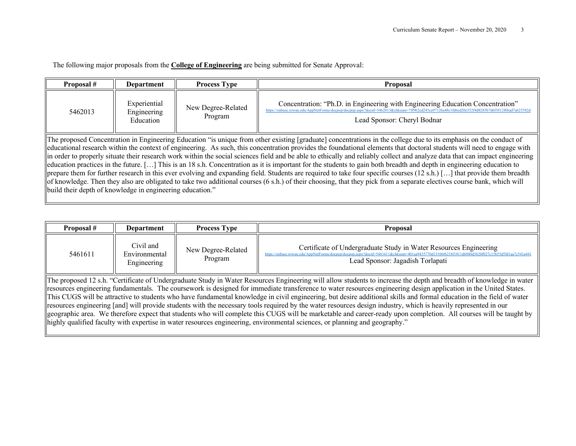The following major proposals from the **College of Engineering** are being submitted for Senate Approval:

| Proposal #                                                                                                                                                                                                                                                                                                                                                                                                                                                                                                                                                                                                                                                                                                                                                                                                                                                                                                                                                                                                                                                                                                             | Department                               | <b>Process Type</b>           | <b>Proposal</b>                                                                                                                                                                                                         |  |
|------------------------------------------------------------------------------------------------------------------------------------------------------------------------------------------------------------------------------------------------------------------------------------------------------------------------------------------------------------------------------------------------------------------------------------------------------------------------------------------------------------------------------------------------------------------------------------------------------------------------------------------------------------------------------------------------------------------------------------------------------------------------------------------------------------------------------------------------------------------------------------------------------------------------------------------------------------------------------------------------------------------------------------------------------------------------------------------------------------------------|------------------------------------------|-------------------------------|-------------------------------------------------------------------------------------------------------------------------------------------------------------------------------------------------------------------------|--|
| 5462013                                                                                                                                                                                                                                                                                                                                                                                                                                                                                                                                                                                                                                                                                                                                                                                                                                                                                                                                                                                                                                                                                                                | Experiential<br>Engineering<br>Education | New Degree-Related<br>Program | Concentration: "Ph.D. in Engineering with Engineering Education Concentration"<br>https://onbase.rowan.edu/AppNetForms/docpon/docpon.aspx?docid=5462013&chksum=7ff962ed245ca97126a48e1fc<br>Lead Sponsor: Cheryl Bodnar |  |
| The proposed Concentration in Engineering Education "is unique from other existing [graduate] concentrations in the college due to its emphasis on the conduct of<br>educational research within the context of engineering. As such, this concentration provides the foundational elements that doctoral students will need to engage with<br>in order to properly situate their research work within the social sciences field and be able to ethically and reliably collect and analyze data that can impact engineering<br>education practices in the future. [] This is an 18 s.h. Concentration as it is important for the students to gain both breadth and depth in engineering education to<br>prepare them for further research in this ever evolving and expanding field. Students are required to take four specific courses (12 s.h.) [] that provide them breadth<br>of knowledge. Then they also are obligated to take two additional courses (6 s.h.) of their choosing, that they pick from a separate electives course bank, which will<br>build their depth of knowledge in engineering education." |                                          |                               |                                                                                                                                                                                                                         |  |

| Proposal #                                                                                                                                                            | <b>Department</b>                         | <b>Process Type</b>           | Proposal                                                                                                                                                                                                                                               |  |
|-----------------------------------------------------------------------------------------------------------------------------------------------------------------------|-------------------------------------------|-------------------------------|--------------------------------------------------------------------------------------------------------------------------------------------------------------------------------------------------------------------------------------------------------|--|
| 5461611                                                                                                                                                               | Civil and<br>Environmental<br>Engineering | New Degree-Related<br>Program | Certificate of Undergraduate Study in Water Resources Engineering<br>https://onbase.rowan.edu/AppNetForms/doepop/doepop.aspx?docid=5461611&chksum=401aa9435770d13106f6218f1811d6880d5620f027c15b55d5fd1aa7c541a441<br>Lead Sponsor: Jagadish Torlapati |  |
| The proposed 12 s.h. "Certificate of Undergraduate Study in Water Resources Engineering will allow students to increase the depth and breadth of knowledge in water   |                                           |                               |                                                                                                                                                                                                                                                        |  |
| resources engineering fundamentals. The coursework is designed for immediate transference to water resources engineering design application in the United States.     |                                           |                               |                                                                                                                                                                                                                                                        |  |
| This CUGS will be attractive to students who have fundamental knowledge in civil engineering, but desire additional skills and formal education in the field of water |                                           |                               |                                                                                                                                                                                                                                                        |  |
| resources engineering [and] will provide students with the necessary tools required by the water resources design industry, which is heavily represented in our       |                                           |                               |                                                                                                                                                                                                                                                        |  |

geographic area. We therefore expect that students who will complete this CUGS will be marketable and career-ready upon completion. All courses will be taught by highly qualified faculty with expertise in water resources engineering, environmental sciences, or planning and geography."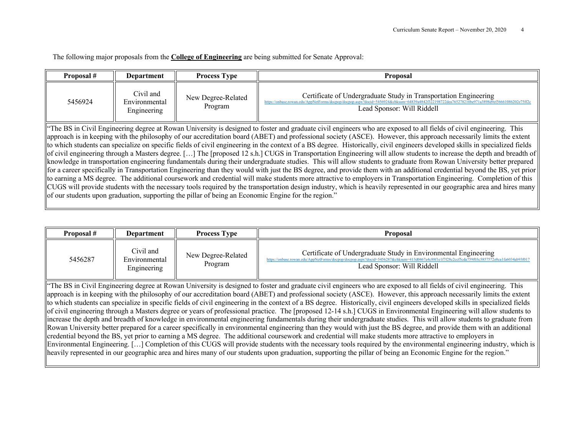The following major proposals from the **College of Engineering** are being submitted for Senate Approval:

| Proposal #                                                                                                                                                                                                                                                                                                                                                                                                                                                                                                                                                                                                                                                                                                                                                                                                                                                                                                                                                                                                                                                                                                                                                                                                                                                                                                                                                                                                                                                                                                  | Department                                | <b>Process Type</b>           | <b>Proposal</b>                                                                                |
|-------------------------------------------------------------------------------------------------------------------------------------------------------------------------------------------------------------------------------------------------------------------------------------------------------------------------------------------------------------------------------------------------------------------------------------------------------------------------------------------------------------------------------------------------------------------------------------------------------------------------------------------------------------------------------------------------------------------------------------------------------------------------------------------------------------------------------------------------------------------------------------------------------------------------------------------------------------------------------------------------------------------------------------------------------------------------------------------------------------------------------------------------------------------------------------------------------------------------------------------------------------------------------------------------------------------------------------------------------------------------------------------------------------------------------------------------------------------------------------------------------------|-------------------------------------------|-------------------------------|------------------------------------------------------------------------------------------------|
| 5456924                                                                                                                                                                                                                                                                                                                                                                                                                                                                                                                                                                                                                                                                                                                                                                                                                                                                                                                                                                                                                                                                                                                                                                                                                                                                                                                                                                                                                                                                                                     | Civil and<br>Environmental<br>Engineering | New Degree-Related<br>Program | Certificate of Undergraduate Study in Transportation Engineering<br>Lead Sponsor: Will Riddell |
| "The BS in Civil Engineering degree at Rowan University is designed to foster and graduate civil engineers who are exposed to all fields of civil engineering. This<br>approach is in keeping with the philosophy of our accreditation board (ABET) and professional society (ASCE). However, this approach necessarily limits the extent<br>to which students can specialize on specific fields of civil engineering in the context of a BS degree. Historically, civil engineers developed skills in specialized fields<br>of civil engineering through a Masters degree. [] The [proposed 12 s.h.] CUGS in Transportation Engineering will allow students to increase the depth and breadth of<br>knowledge in transportation engineering fundamentals during their undergraduate studies. This will allow students to graduate from Rowan University better prepared<br>for a career specifically in Transportation Engineering than they would with just the BS degree, and provide them with an additional credential beyond the BS, yet prior<br>to earning a MS degree. The additional coursework and credential will make students more attractive to employers in Transportation Engineering. Completion of this<br>CUGS will provide students with the necessary tools required by the transportation design industry, which is heavily represented in our geographic area and hires many<br>of our students upon graduation, supporting the pillar of being an Economic Engine for the region." |                                           |                               |                                                                                                |

| Proposal #                                                                                                                                                          | Department                                                                                                                                                                   | <b>Process Type</b>           | <b>Proposal</b>                                                                                                                                                    |  |  |
|---------------------------------------------------------------------------------------------------------------------------------------------------------------------|------------------------------------------------------------------------------------------------------------------------------------------------------------------------------|-------------------------------|--------------------------------------------------------------------------------------------------------------------------------------------------------------------|--|--|
| 5456287                                                                                                                                                             | Civil and<br>Environmental<br>Engineering                                                                                                                                    | New Degree-Related<br>Program | Certificate of Undergraduate Study in Environmental Engineering<br>Lead Sponsor: Will Riddell                                                                      |  |  |
|                                                                                                                                                                     | "The BS in Civil Engineering degree at Rowan University is designed to foster and graduate civil engineers who are exposed to all fields of civil engineering. This          |                               |                                                                                                                                                                    |  |  |
|                                                                                                                                                                     |                                                                                                                                                                              |                               | approach is in keeping with the philosophy of our accreditation board (ABET) and professional society (ASCE). However, this approach necessarily limits the extent |  |  |
|                                                                                                                                                                     | to which students can specialize in specific fields of civil engineering in the context of a BS degree. Historically, civil engineers developed skills in specialized fields |                               |                                                                                                                                                                    |  |  |
| of civil engineering through a Masters degree or years of professional practice. The [proposed 12-14 s.h.] CUGS in Environmental Engineering will allow students to |                                                                                                                                                                              |                               |                                                                                                                                                                    |  |  |
| increase the depth and breadth of knowledge in environmental engineering fundamentals during their undergraduate studies. This will allow students to graduate from |                                                                                                                                                                              |                               |                                                                                                                                                                    |  |  |
|                                                                                                                                                                     | Rowan University better prepared for a career specifically in environmental engineering than they would with just the BS degree, and provide them with an additional         |                               |                                                                                                                                                                    |  |  |

credential beyond the BS, yet prior to earning a MS degree. The additional coursework and credential will make students more attractive to employers in Environmental Engineering. […] Completion of this CUGS will provide students with the necessary tools required by the environmental engineering industry, which is heavily represented in our geographic area and hires many of our students upon graduation, supporting the pillar of being an Economic Engine for the region."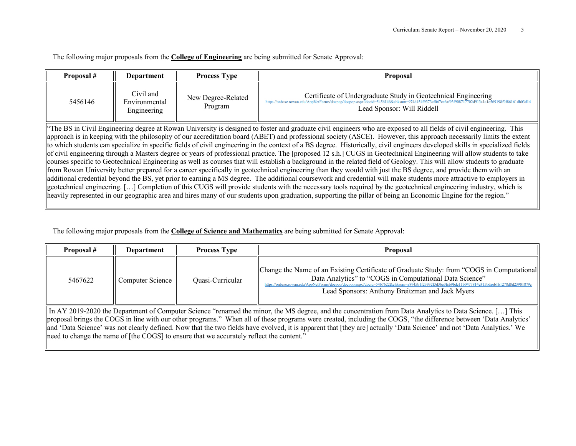The following major proposals from the **College of Engineering** are being submitted for Senate Approval:

| Proposal #                                                                                                                                                                                                                                                                                                                                                                                                                                                                                                                                                                                                                                                                                                                                                                                                                                                                                                                                                                                                                                                                                                                                                                                                                                                                                                                                                                                                                                                                                                                                             | <b>Department</b>                         | <b>Process Type</b>           | Proposal                                                                                     |
|--------------------------------------------------------------------------------------------------------------------------------------------------------------------------------------------------------------------------------------------------------------------------------------------------------------------------------------------------------------------------------------------------------------------------------------------------------------------------------------------------------------------------------------------------------------------------------------------------------------------------------------------------------------------------------------------------------------------------------------------------------------------------------------------------------------------------------------------------------------------------------------------------------------------------------------------------------------------------------------------------------------------------------------------------------------------------------------------------------------------------------------------------------------------------------------------------------------------------------------------------------------------------------------------------------------------------------------------------------------------------------------------------------------------------------------------------------------------------------------------------------------------------------------------------------|-------------------------------------------|-------------------------------|----------------------------------------------------------------------------------------------|
| 5456146                                                                                                                                                                                                                                                                                                                                                                                                                                                                                                                                                                                                                                                                                                                                                                                                                                                                                                                                                                                                                                                                                                                                                                                                                                                                                                                                                                                                                                                                                                                                                | Civil and<br>Environmental<br>Engineering | New Degree-Related<br>Program | Certificate of Undergraduate Study in Geotechnical Engineering<br>Lead Sponsor: Will Riddell |
| "The BS in Civil Engineering degree at Rowan University is designed to foster and graduate civil engineers who are exposed to all fields of civil engineering. This<br>approach is in keeping with the philosophy of our accreditation board (ABET) and professional society (ASCE). However, this approach necessarily limits the extent<br>to which students can specialize in specific fields of civil engineering in the context of a BS degree. Historically, civil engineers developed skills in specialized fields<br>of civil engineering through a Masters degree or years of professional practice. The [proposed 12 s.h.] CUGS in Geotechnical Engineering will allow students to take<br>courses specific to Geotechnical Engineering as well as courses that will establish a background in the related field of Geology. This will allow students to graduate<br>from Rowan University better prepared for a career specifically in geotechnical engineering than they would with just the BS degree, and provide them with an<br>additional credential beyond the BS, yet prior to earning a MS degree. The additional coursework and credential will make students more attractive to employers in<br>geotechnical engineering. [] Completion of this CUGS will provide students with the necessary tools required by the geotechnical engineering industry, which is<br>heavily represented in our geographic area and hires many of our students upon graduation, supporting the pillar of being an Economic Engine for the region." |                                           |                               |                                                                                              |

The following major proposals from the **College of Science and Mathematics** are being submitted for Senate Approval:

| Proposal #                                                                                                                                                                                                                                                                                                                                                                                                                                                                                                                                                                                        | <b>Department</b> | <b>Process Type</b> | <b>Proposal</b>                                                                                                                                                                                                                                        |  |
|---------------------------------------------------------------------------------------------------------------------------------------------------------------------------------------------------------------------------------------------------------------------------------------------------------------------------------------------------------------------------------------------------------------------------------------------------------------------------------------------------------------------------------------------------------------------------------------------------|-------------------|---------------------|--------------------------------------------------------------------------------------------------------------------------------------------------------------------------------------------------------------------------------------------------------|--|
| 5467622                                                                                                                                                                                                                                                                                                                                                                                                                                                                                                                                                                                           | Computer Science  | Quasi-Curricular    | Change the Name of an Existing Certificate of Graduate Study: from "COGS in Computational<br>Data Analytics" to "COGS in Computational Data Science"<br>https://onbase.rowan.edu/AppNetForms/docpop<br>Lead Sponsors: Anthony Breitzman and Jack Myers |  |
| In AY 2019-2020 the Department of Computer Science "renamed the minor, the MS degree, and the concentration from Data Analytics to Data Science. [] This<br>proposal brings the COGS in line with our other programs." When all of these programs were created, including the COGS, "the difference between 'Data Analytics'<br>and 'Data Science' was not clearly defined. Now that the two fields have evolved, it is apparent that [they are] actually 'Data Science' and not 'Data Analytics.' We<br>need to change the name of [the COGS] to ensure that we accurately reflect the content." |                   |                     |                                                                                                                                                                                                                                                        |  |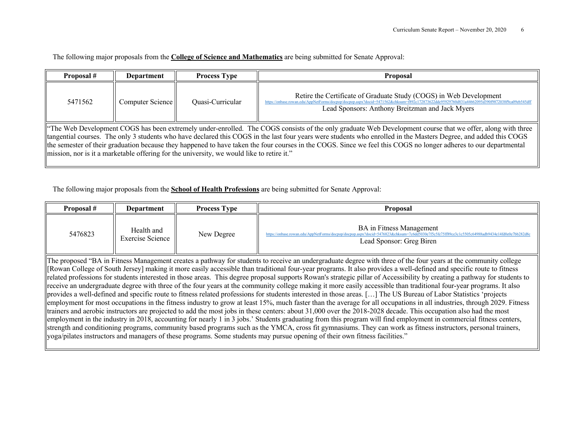The following major proposals from the **College of Science and Mathematics** are being submitted for Senate Approval:

| Proposal #                                                                                                                                                                                                                                                                                                                                                                                                                                                                                                                                                                                      | Department       | <b>Process Type</b> | <b>Proposal</b>                                                                                                                                                                                                                                                        |
|-------------------------------------------------------------------------------------------------------------------------------------------------------------------------------------------------------------------------------------------------------------------------------------------------------------------------------------------------------------------------------------------------------------------------------------------------------------------------------------------------------------------------------------------------------------------------------------------------|------------------|---------------------|------------------------------------------------------------------------------------------------------------------------------------------------------------------------------------------------------------------------------------------------------------------------|
| 5471562                                                                                                                                                                                                                                                                                                                                                                                                                                                                                                                                                                                         | Computer Science | Quasi-Curricular    | Retire the Certificate of Graduate Study (COGS) in Web Development<br>https://onbase.rowan.edu/AppNetForms/docpop/docpop.aspx?docid=5471562&chksum=f892c172873622ddc95929760d831a44662095d390f9872038f9ca09eb545dff<br>Lead Sponsors: Anthony Breitzman and Jack Myers |
| "The Web Development COGS has been extremely under-enrolled. The COGS consists of the only graduate Web Development course that we offer, along with three<br>tangential courses. The only 3 students who have declared this COGS in the last four years were students who enrolled in the Masters Degree, and added this COGS<br>the semester of their graduation because they happened to have taken the four courses in the COGS. Since we feel this COGS no longer adheres to our departmental<br>mission, nor is it a marketable offering for the university, we would like to retire it." |                  |                     |                                                                                                                                                                                                                                                                        |

The following major proposals from the **School of Health Professions** are being submitted for Senate Approval:

| Proposal #                                                                                                                                                                                                                                                                                                                                                                                                                                                                                                                                                                                                                                                                                                                                                                                                                                                                                                                                                                                                                                                                                                                                                                                                                                                                                                                                                                                                                                                                                                                                                                                                                                                                       | <b>Department</b>                     | <b>Process Type</b> | <b>Proposal</b>                                                                                                                                                                                        |
|----------------------------------------------------------------------------------------------------------------------------------------------------------------------------------------------------------------------------------------------------------------------------------------------------------------------------------------------------------------------------------------------------------------------------------------------------------------------------------------------------------------------------------------------------------------------------------------------------------------------------------------------------------------------------------------------------------------------------------------------------------------------------------------------------------------------------------------------------------------------------------------------------------------------------------------------------------------------------------------------------------------------------------------------------------------------------------------------------------------------------------------------------------------------------------------------------------------------------------------------------------------------------------------------------------------------------------------------------------------------------------------------------------------------------------------------------------------------------------------------------------------------------------------------------------------------------------------------------------------------------------------------------------------------------------|---------------------------------------|---------------------|--------------------------------------------------------------------------------------------------------------------------------------------------------------------------------------------------------|
| 5476823                                                                                                                                                                                                                                                                                                                                                                                                                                                                                                                                                                                                                                                                                                                                                                                                                                                                                                                                                                                                                                                                                                                                                                                                                                                                                                                                                                                                                                                                                                                                                                                                                                                                          | Health and<br><b>Exercise Science</b> | New Degree          | BA in Fitness Management<br>76823&chksum=7c6dd5030e7f5c5fe75ff89ce3c1c5505c64988adb9434e14fd0e0e7bb282d8c<br>https://onbase.rowan.edu/AppNetForms/docpop/docpop.aspx?docid<br>Lead Sponsor: Greg Biren |
| The proposed "BA in Fitness Management creates a pathway for students to receive an undergraduate degree with three of the four years at the community college<br>[Rowan College of South Jersey] making it more easily accessible than traditional four-year programs. It also provides a well-defined and specific route to fitness<br>related professions for students interested in those areas. This degree proposal supports Rowan's strategic pillar of Accessibility by creating a pathway for students to<br>receive an undergraduate degree with three of the four years at the community college making it more easily accessible than traditional four-year programs. It also<br>provides a well-defined and specific route to fitness related professions for students interested in those areas. [] The US Bureau of Labor Statistics 'projects<br>employment for most occupations in the fitness industry to grow at least 15%, much faster than the average for all occupations in all industries, through 2029. Fitness<br>trainers and aerobic instructors are projected to add the most jobs in these centers: about 31,000 over the 2018-2028 decade. This occupation also had the most<br>employment in the industry in 2018, accounting for nearly 1 in 3 jobs.' Students graduating from this program will find employment in commercial fitness centers,<br>strength and conditioning programs, community based programs such as the YMCA, cross fit gymnasiums. They can work as fitness instructors, personal trainers,<br>yoga/pilates instructors and managers of these programs. Some students may pursue opening of their own fitness facilities." |                                       |                     |                                                                                                                                                                                                        |